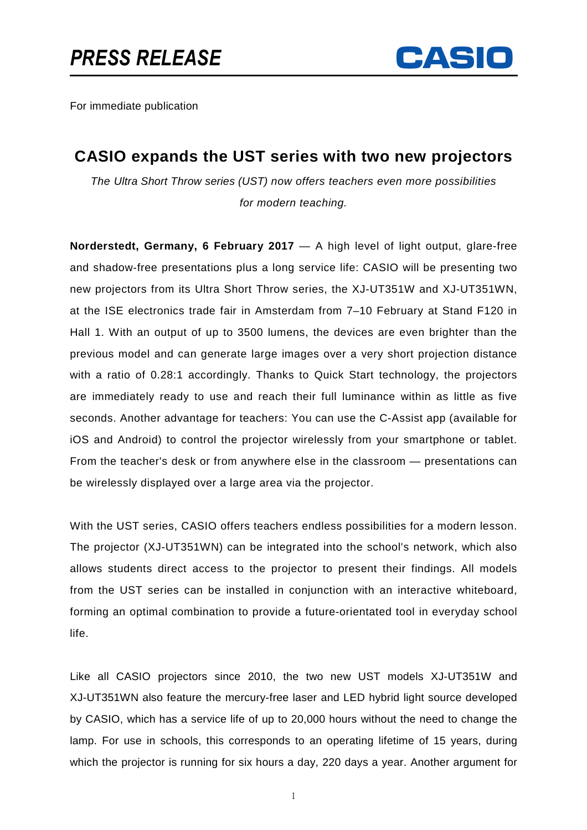

For immediate publication

## **CASIO expands the UST series with two new projectors**

The Ultra Short Throw series (UST) now offers teachers even more possibilities for modern teaching.

**Norderstedt, Germany, 6 February 2017** — A high level of light output, glare-free and shadow-free presentations plus a long service life: CASIO will be presenting two new projectors from its Ultra Short Throw series, the XJ-UT351W and XJ-UT351WN, at the ISE electronics trade fair in Amsterdam from 7–10 February at Stand F120 in Hall 1. With an output of up to 3500 lumens, the devices are even brighter than the previous model and can generate large images over a very short projection distance with a ratio of 0.28:1 accordingly. Thanks to Quick Start technology, the projectors are immediately ready to use and reach their full luminance within as little as five seconds. Another advantage for teachers: You can use the C-Assist app (available for iOS and Android) to control the projector wirelessly from your smartphone or tablet. From the teacher's desk or from anywhere else in the classroom — presentations can be wirelessly displayed over a large area via the projector.

With the UST series, CASIO offers teachers endless possibilities for a modern lesson. The projector (XJ-UT351WN) can be integrated into the school's network, which also allows students direct access to the projector to present their findings. All models from the UST series can be installed in conjunction with an interactive whiteboard, forming an optimal combination to provide a future-orientated tool in everyday school life.

Like all CASIO projectors since 2010, the two new UST models XJ-UT351W and XJ-UT351WN also feature the mercury-free laser and LED hybrid light source developed by CASIO, which has a service life of up to 20,000 hours without the need to change the lamp. For use in schools, this corresponds to an operating lifetime of 15 years, during which the projector is running for six hours a day, 220 days a year. Another argument for